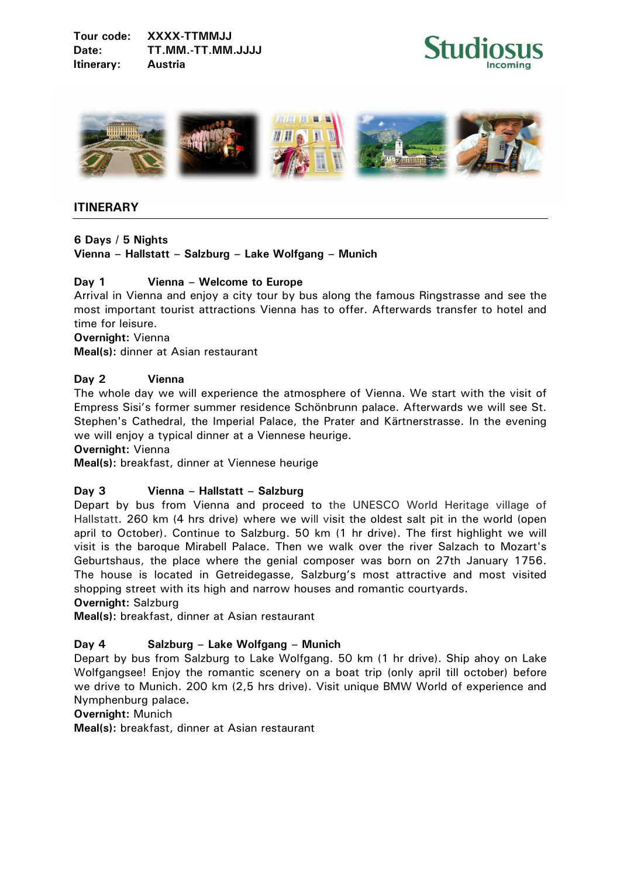



# **ITINERARY**

# **6 Days / 5 Nights**

**Vienna – Hallstatt – Salzburg – Lake Wolfgang – Munich** 

## **Day 1 Vienna – Welcome to Europe**

Arrival in Vienna and enjoy a city tour by bus along the famous Ringstrasse and see the most important tourist attractions Vienna has to offer. Afterwards transfer to hotel and time for leisure.

## **Overnight:** Vienna

**Meal(s):** dinner at Asian restaurant

## **Day 2 Vienna**

The whole day we will experience the atmosphere of Vienna. We start with the visit of Empress Sisi's former summer residence Schönbrunn palace. Afterwards we will see St. Stephen's Cathedral, the Imperial Palace, the Prater and Kärtnerstrasse. In the evening we will enjoy a typical dinner at a Viennese heurige.

**Overnight:** Vienna

**Meal(s):** breakfast, dinner at Viennese heurige

## **Day 3 Vienna – Hallstatt – Salzburg**

Depart by bus from Vienna and proceed to the UNESCO World Heritage village of Hallstatt. 260 km (4 hrs drive) where we will visit the oldest salt pit in the world (open april to October). Continue to Salzburg. 50 km (1 hr drive). The first highlight we will visit is the baroque Mirabell Palace. Then we walk over the river Salzach to Mozart's Geburtshaus, the place where the genial composer was born on 27th January 1756. The house is located in Getreidegasse, Salzburg's most attractive and most visited shopping street with its high and narrow houses and romantic courtyards.

## **Overnight:** Salzburg

**Meal(s):** breakfast, dinner at Asian restaurant

## **Day 4 Salzburg – Lake Wolfgang – Munich**

Depart by bus from Salzburg to Lake Wolfgang. 50 km (1 hr drive). Ship ahoy on Lake Wolfgangsee! Enjoy the romantic scenery on a boat trip (only april till october) before we drive to Munich. 200 km (2,5 hrs drive). Visit unique BMW World of experience and Nymphenburg palace**.** 

## **Overnight:** Munich

**Meal(s):** breakfast, dinner at Asian restaurant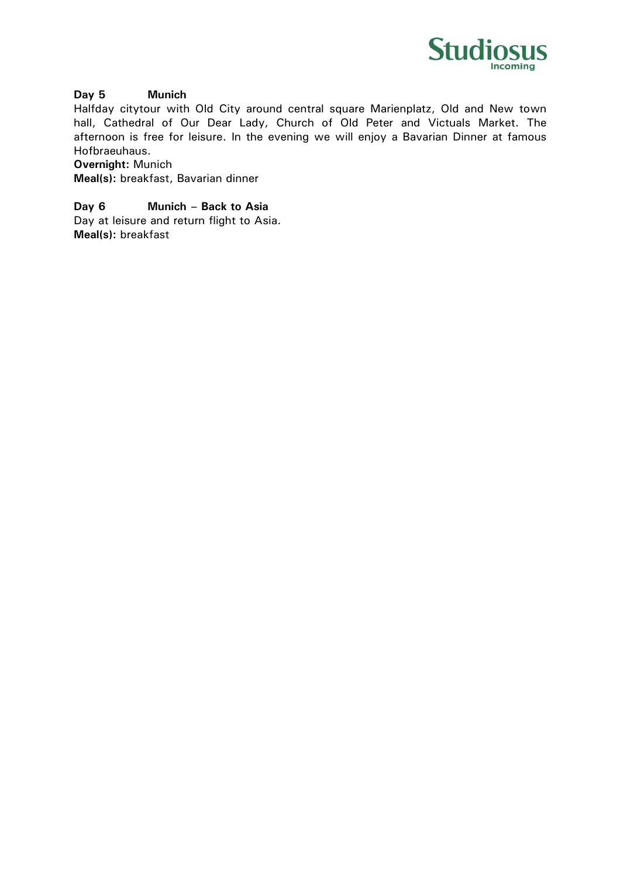

## **Day 5 Munich**

Halfday citytour with Old City around central square Marienplatz, Old and New town hall, Cathedral of Our Dear Lady, Church of Old Peter and Victuals Market. The afternoon is free for leisure. In the evening we will enjoy a Bavarian Dinner at famous Hofbraeuhaus.

**Overnight:** Munich

**Meal(s):** breakfast, Bavarian dinner

**Day 6 Munich – Back to Asia** 

Day at leisure and return flight to Asia. **Meal(s):** breakfast